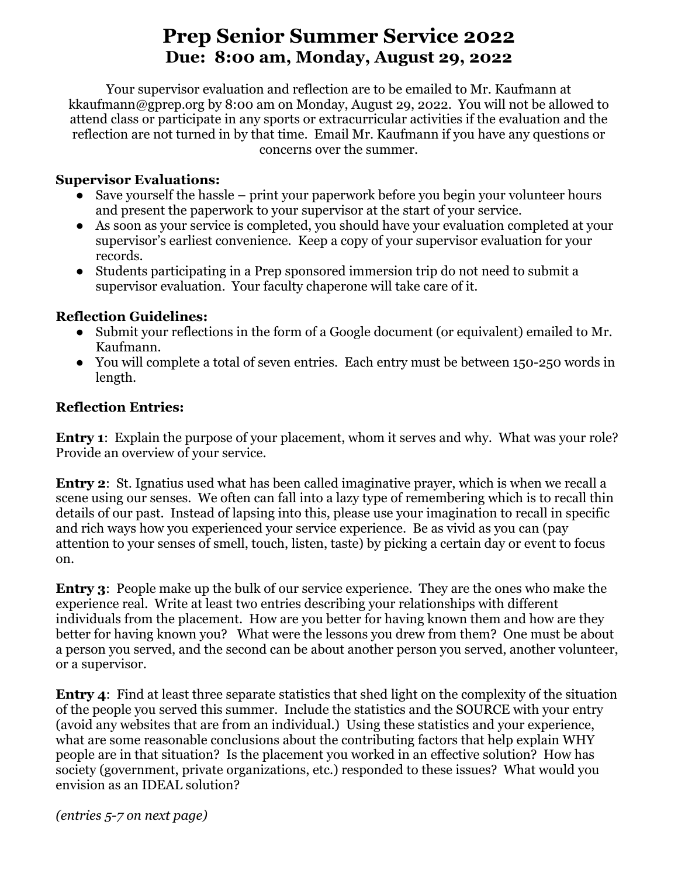## **Prep Senior Summer Service 2022 Due: 8:00 am, Monday, August 29, 2022**

Your supervisor evaluation and reflection are to be emailed to Mr. Kaufmann at kkaufmann@gprep.org by 8:00 am on Monday, August 29, 2022. You will not be allowed to attend class or participate in any sports or extracurricular activities if the evaluation and the reflection are not turned in by that time. Email Mr. Kaufmann if you have any questions or concerns over the summer.

## **Supervisor Evaluations:**

- Save yourself the hassle print your paperwork before you begin your volunteer hours and present the paperwork to your supervisor at the start of your service.
- As soon as your service is completed, you should have your evaluation completed at your supervisor's earliest convenience. Keep a copy of your supervisor evaluation for your records.
- Students participating in a Prep sponsored immersion trip do not need to submit a supervisor evaluation. Your faculty chaperone will take care of it.

## **Reflection Guidelines:**

- Submit your reflections in the form of a Google document (or equivalent) emailed to Mr. Kaufmann.
- You will complete a total of seven entries. Each entry must be between 150-250 words in length.

## **Reflection Entries:**

**Entry 1**: Explain the purpose of your placement, whom it serves and why. What was your role? Provide an overview of your service.

**Entry 2**: St. Ignatius used what has been called imaginative prayer, which is when we recall a scene using our senses. We often can fall into a lazy type of remembering which is to recall thin details of our past. Instead of lapsing into this, please use your imagination to recall in specific and rich ways how you experienced your service experience. Be as vivid as you can (pay attention to your senses of smell, touch, listen, taste) by picking a certain day or event to focus on.

**Entry 3**: People make up the bulk of our service experience. They are the ones who make the experience real. Write at least two entries describing your relationships with different individuals from the placement. How are you better for having known them and how are they better for having known you? What were the lessons you drew from them? One must be about a person you served, and the second can be about another person you served, another volunteer, or a supervisor.

**Entry 4**: Find at least three separate statistics that shed light on the complexity of the situation of the people you served this summer. Include the statistics and the SOURCE with your entry (avoid any websites that are from an individual.) Using these statistics and your experience, what are some reasonable conclusions about the contributing factors that help explain WHY people are in that situation? Is the placement you worked in an effective solution? How has society (government, private organizations, etc.) responded to these issues? What would you envision as an IDEAL solution?

*(entries 5-7 on next page)*